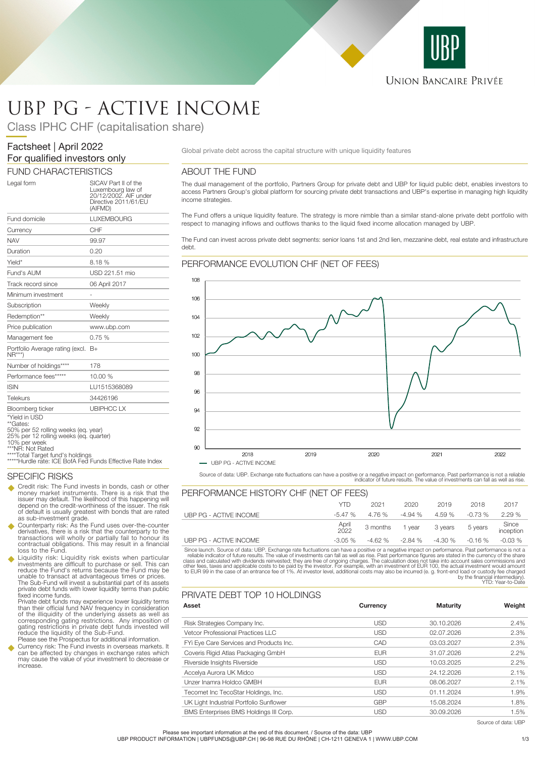

# UBP PG - ACTIVE INCOME

Class IPHC CHF (capitalisation share)

# Factsheet | April 2022 For qualified investors only

# FUND CHARACTERISTICS

| Legal form                                                                                                 | SICAV Part II of the<br>Luxembourg law of<br>20/12/2002. AIF under<br>Directive 2011/61/EU<br>(AIFMD) |
|------------------------------------------------------------------------------------------------------------|-------------------------------------------------------------------------------------------------------|
| Fund domicile                                                                                              | <b>LUXEMBOURG</b>                                                                                     |
| Currency                                                                                                   | CHF                                                                                                   |
| <b>NAV</b>                                                                                                 | 99.97                                                                                                 |
| Duration                                                                                                   | 0.20                                                                                                  |
| Yield*                                                                                                     | 8.18%                                                                                                 |
| Fund's AUM                                                                                                 | USD 221.51 mio                                                                                        |
| Track record since                                                                                         | 06 April 2017                                                                                         |
| Minimum investment                                                                                         |                                                                                                       |
| Subscription                                                                                               | Weekly                                                                                                |
| Redemption**                                                                                               | Weekly                                                                                                |
| Price publication                                                                                          | www.ubp.com                                                                                           |
| Management fee                                                                                             | 0.75%                                                                                                 |
| Portfolio Average rating (excl. B+<br>$NR***$                                                              |                                                                                                       |
| Number of holdings****                                                                                     | 178                                                                                                   |
| Performance fees*****                                                                                      | 10.00 %                                                                                               |
| <b>ISIN</b>                                                                                                | LU1515368089                                                                                          |
| <b>Telekurs</b>                                                                                            | 34426196                                                                                              |
| Bloomberg ticker                                                                                           | <b>UBIPHCCLX</b>                                                                                      |
| *Yield in USD<br>**Gates:<br>50% per 52 rolling weeks (eq. year)<br>25% per 12 rolling weeks (eq. quarter) |                                                                                                       |

10% per week

\*NR: Not Rated

\*\*\*\*Total Target fund's holdings \*\*\*\*\*Hurdle rate: ICE BofA Fed Funds Effective Rate Index

# SPECIFIC RISKS

- Credit risk: The Fund invests in bonds, cash or other money market instruments. There is a risk that the issuer may default. The likelihood of this happening will depend on the credit-worthiness of the issuer. The risk of default is usually greatest with bonds that are rated as sub-investment grade.
- Counterparty risk: As the Fund uses over-the-counter<br>derivatives there is a risk that the counterparty to the derivatives, there is a risk that the counterparty to the transactions will wholly or partially fail to honour its contractual obligations. This may result in a financial loss to the Fund.
- u Liquidity risk: Liquidity risk exists when particular investments are difficult to purchase or sell. This can reduce the Fund's returns because the Fund may be unable to transact at advantageous times or prices. The Sub-Fund will invest a substantial part of its assets private debt funds with lower liquidity terms than public fixed income funds.

Private debt funds may experience lower liquidity terms than their official fund NAV frequency in consideration of the illiquidity of the underlying assets as well as corresponding gating restrictions. Any imposition of gating restrictions in private debt funds invested will reduce the liquidity of the Sub-Fund.

Please see the Prospectus for additional information. u Currency risk: The Fund invests in overseas markets. It can be affected by changes in exchange rates which may cause the value of your investment to decrease or increase.

Global private debt across the capital structure with unique liquidity features

# ABOUT THE FUND

The dual management of the portfolio, Partners Group for private debt and UBP for liquid public debt, enables investors to access Partners Group's global platform for sourcing private debt transactions and UBP's expertise in managing high liquidity income strategies.

The Fund offers a unique liquidity feature. The strategy is more nimble than a similar stand-alone private debt portfolio with respect to managing inflows and outflows thanks to the liquid fixed income allocation managed by UBP.

The Fund can invest across private debt segments: senior loans 1st and 2nd lien, mezzanine debt, real estate and infrastructure debt.

### PERFORMANCE EVOLUTION CHF (NET OF FEES)



Source of data: UBP. Exchange rate fluctuations can have a positive or a negative impact on performance. Past performance is not a reliable indicator of future results. The value of investments can fall as well as rise.

| PERFORMANCE HISTORY CHF (NET OF FEES) |               |          |          |          |           |                    |
|---------------------------------------|---------------|----------|----------|----------|-----------|--------------------|
|                                       | YTD           | 2021     | 2020     | 2019     | 2018      | 2017               |
| UBP PG - ACTIVE INCOME                | $-5.47%$      | 4.76 %   | $-4.94%$ | 4.59%    | $-0.73\%$ | 2.29%              |
|                                       | April<br>2022 | 3 months | 1 vear   | 3 years  | 5 years   | Since<br>inception |
| UBP PG - ACTIVE INCOME                | $-3.05\%$     | $-4.62%$ | -2.84 %  | $-4.30%$ | $-0.16%$  | $-0.03\%$          |

Since launch. Source of data: UBP, Exchange rate fluctuations can have a positive or a negative impact on performance. Past performance into a relable indicator of future results. The value of investments can fall as well

# PRIVATE DEBT TOP 10 HOLDINGS

| Asset                                   | Currency   | <b>Maturity</b> | Weight  |
|-----------------------------------------|------------|-----------------|---------|
| Risk Strategies Company Inc.            | <b>USD</b> | 30.10.2026      | 2.4%    |
| Vetcor Professional Practices LLC       | <b>USD</b> | 02.07.2026      | 2.3%    |
| FYi Eye Care Services and Products Inc. | CAD        | 03.03.2027      | 2.3%    |
| Coveris Rigid Atlas Packaging GmbH      | <b>EUR</b> | 31.07.2026      | 2.2%    |
| Riverside Insights Riverside            | <b>USD</b> | 10.03.2025      | $2.2\%$ |
| Accelya Aurora UK Midco                 | <b>USD</b> | 24.12.2026      | 2.1%    |
| Unzer Inamra Holdco GMBH                | <b>EUR</b> | 08.06.2027      | 2.1%    |
| Tecomet Inc TecoStar Holdings, Inc.     | <b>USD</b> | 01.11.2024      | 1.9%    |
| UK Light Industrial Portfolio Sunflower | <b>GBP</b> | 15.08.2024      | 1.8%    |
| BMS Enterprises BMS Holdings III Corp.  | <b>USD</b> | 30.09.2026      | 1.5%    |

Source of data: UBP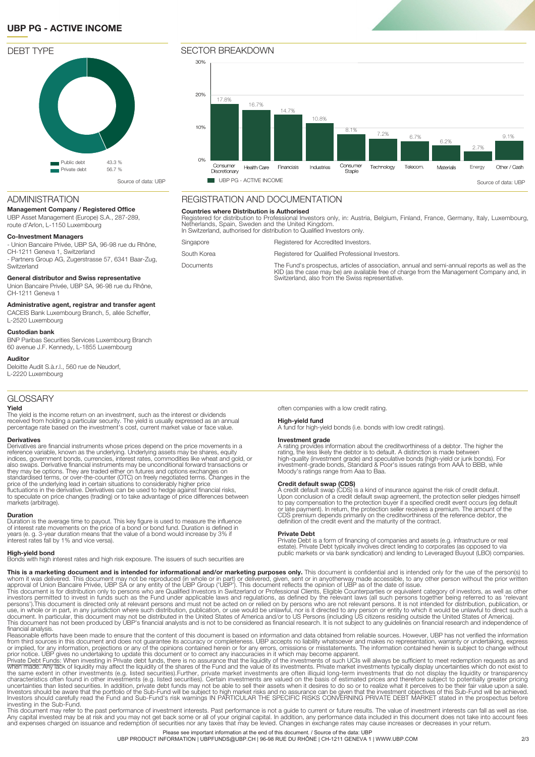# **UBP PG - ACTIVE INCOME**



#### $30%$ 20% 17.8% 16.7% 14.7% 10.8% 10% 8.1%  $\frac{7.2\%}{9.1\%}$  6.7% 9.1% 6.7%6.2% 2.7%  $0%$ Consumer Congumer Telecom. Energy Other / Cash Health Care Financials Industries Technology Materials Staple Discretionary **4. ISOURE REPORT OF ACTIVE INCOME** Source of data: UBP PG - ACTIVE INCOME

# REGISTRATION AND DOCUMENTATION

#### **Countries where Distribution is Authorised**

Registered for distribution to Professional Investors only, in: Austria, Belgium, Finland, France, Germany, Italy, Luxembourg,<br>Netherlands, Spain, Sweden and the United Kingdom.<br>In Switzerland, authorised for distribution

| Singapore        | Registered for Accredited Investors.                                                                                                                                                                                                           |
|------------------|------------------------------------------------------------------------------------------------------------------------------------------------------------------------------------------------------------------------------------------------|
| South Korea      | Registered for Qualified Professional Investors.                                                                                                                                                                                               |
| <b>Documents</b> | The Fund's prospectus, articles of association, annual and semi-annual reports as well as the<br>KID (as the case may be) are available free of charge from the Management Company and, in<br>Switzerland, also from the Swiss representative. |

### ADMINISTRATION

#### **Management Company / Registered Office**

UBP Asset Management (Europe) S.A., 287-289, route d'Arlon, L-1150 Luxembourg

#### **Co-Investment Managers**

- Union Bancaire Privée, UBP SA, 96-98 rue du Rhône, CH-1211 Geneva 1, Switzerland

- Partners Group AG, Zugerstrasse 57, 6341 Baar-Zug, **Switzerland** 

#### **General distributor and Swiss representative**

Union Bancaire Privée, UBP SA, 96-98 rue du Rhône, CH-1211 Geneva 1

#### **Administrative agent, registrar and transfer agent**

CACEIS Bank Luxembourg Branch, 5, allée Scheffer, L-2520 Luxembourg **Custodian bank**

BNP Paribas Securities Services Luxembourg Branch 60 avenue J.F. Kennedy, L-1855 Luxembourg

### **Auditor**

Deloitte Audit S.à.r.l., 560 rue de Neudorf, L-2220 Luxembourg

# **GLOSSARY**

## **Yield**

The yield is the income return on an investment, such as the interest or dividends<br>received from holding a particular security. The yield is usually expressed as an annual<br>percentage rate based on the investment's cost, cu

#### **Derivatives**

Derivatives are financial instruments whose prices depend on the price movements in a reference variable, known as the underlying. Underlying assets may be shares, equity<br>indices, government bonds, currencies, interest rates, commodities like wheat and glold, or<br>also swaps. Derivative financial instruments to speculate on price changes (trading) or to take advantage of price differences between markets (arbitrage).

#### **Duration**

Duration is the average time to payout. This key figure is used to measure the influence of interest rate movements on the price of a bond or bond fund. Duration is defined in years (e. g. 3-year duration means that the value of a bond would increase by 3% if interest rates fall by 1% and vice versa).

#### **High-yield bond**

Bonds with high interest rates and high risk exposure. The issuers of such securities are

often companies with a low credit rating.

**High-yield fund** A fund for high-yield bonds (i.e. bonds with low credit ratings).

### **Investment grade**

A rating provides information about the creditworthiness of a debtor. The higher the rating, the less likely the debtor is to default. A distinction is made between<br>high-quality (investment grade) and speculative bonds (high-yield or junk bonds). For<br>investment-grade bonds, Standard & Poor's issues ratings Moody's ratings range from Aaa to Baa.

**Credit default swap (CDS)** A credit default swap (CDS) is a kind of insurance against the risk of credit default. Upon conclusion of a credit default swap agreement, the protection seller pledges himself<br>to pay compensation to the protection buyer if a specified credit event occurs (eg default<br>or late payment). In return, the protecti

### **Private Debt**

Private Debt is a form of financing of companies and assets (e.g. infrastructure or real estate). Private Debt typically involves direct lending to corporates (as opposed to via public markets or via bank syndication) and lending to Leveraged Buyout (LBO) companies.

**This is a marketing document and is intended for informational and/or marketing purposes only.** This document is confidential and is intended only for the use of the person(s) to<br>whom it was delivered. This document may n

financial analysis<br>Frasonable efforts have been made to ensure that the content of this document is based on information and data obtained from reliable sources. However, UBP has not verified the information<br>from third sou

This document may refer to the past performance of investment interests. Past performance is not a guide to current or future results. The value of investment interests can fall as well as rise.<br>Any capital invested may be Please see important information at the end of this document. / Source of the data: UBP

UBP PRODUCT INFORMATION | UBPFUNDS@UBP.CH | 96-98 RUE DU RHÔNE | CH-1211 GENEVA 1 | WWW.UBP.COM 32/